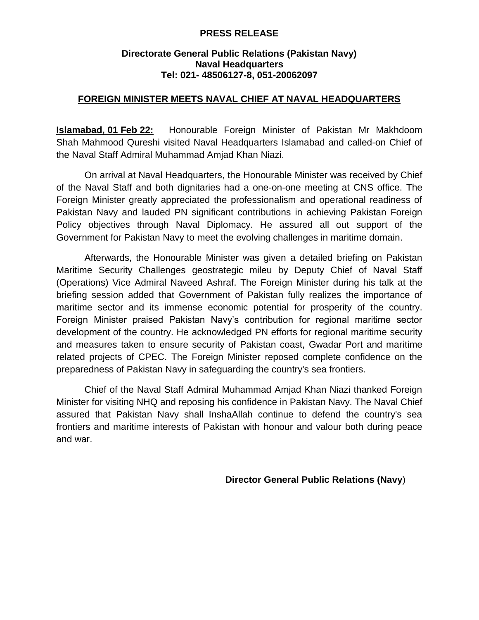## **PRESS RELEASE**

## **Directorate General Public Relations (Pakistan Navy) Naval Headquarters Tel: 021- 48506127-8, 051-20062097**

## **FOREIGN MINISTER MEETS NAVAL CHIEF AT NAVAL HEADQUARTERS**

**Islamabad, 01 Feb 22:** Honourable Foreign Minister of Pakistan Mr Makhdoom Shah Mahmood Qureshi visited Naval Headquarters Islamabad and called-on Chief of the Naval Staff Admiral Muhammad Amjad Khan Niazi.

On arrival at Naval Headquarters, the Honourable Minister was received by Chief of the Naval Staff and both dignitaries had a one-on-one meeting at CNS office. The Foreign Minister greatly appreciated the professionalism and operational readiness of Pakistan Navy and lauded PN significant contributions in achieving Pakistan Foreign Policy objectives through Naval Diplomacy. He assured all out support of the Government for Pakistan Navy to meet the evolving challenges in maritime domain.

Afterwards, the Honourable Minister was given a detailed briefing on Pakistan Maritime Security Challenges geostrategic mileu by Deputy Chief of Naval Staff (Operations) Vice Admiral Naveed Ashraf. The Foreign Minister during his talk at the briefing session added that Government of Pakistan fully realizes the importance of maritime sector and its immense economic potential for prosperity of the country. Foreign Minister praised Pakistan Navy's contribution for regional maritime sector development of the country. He acknowledged PN efforts for regional maritime security and measures taken to ensure security of Pakistan coast, Gwadar Port and maritime related projects of CPEC. The Foreign Minister reposed complete confidence on the preparedness of Pakistan Navy in safeguarding the country's sea frontiers.

Chief of the Naval Staff Admiral Muhammad Amjad Khan Niazi thanked Foreign Minister for visiting NHQ and reposing his confidence in Pakistan Navy. The Naval Chief assured that Pakistan Navy shall InshaAllah continue to defend the country's sea frontiers and maritime interests of Pakistan with honour and valour both during peace and war.

**Director General Public Relations (Navy**)